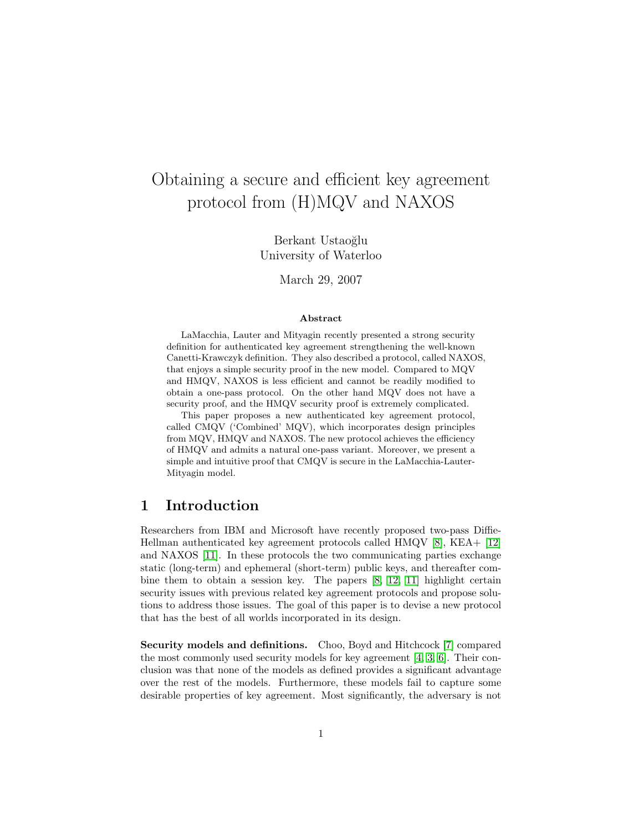# Obtaining a secure and efficient key agreement protocol from (H)MQV and NAXOS

Berkant Ustaoğlu University of Waterloo

March 29, 2007

#### Abstract

LaMacchia, Lauter and Mityagin recently presented a strong security definition for authenticated key agreement strengthening the well-known Canetti-Krawczyk definition. They also described a protocol, called NAXOS, that enjoys a simple security proof in the new model. Compared to MQV and HMQV, NAXOS is less efficient and cannot be readily modified to obtain a one-pass protocol. On the other hand MQV does not have a security proof, and the HMQV security proof is extremely complicated.

This paper proposes a new authenticated key agreement protocol, called CMQV ('Combined' MQV), which incorporates design principles from MQV, HMQV and NAXOS. The new protocol achieves the efficiency of HMQV and admits a natural one-pass variant. Moreover, we present a simple and intuitive proof that CMQV is secure in the LaMacchia-Lauter-Mityagin model.

### <span id="page-0-0"></span>1 Introduction

Researchers from IBM and Microsoft have recently proposed two-pass Diffie-Hellman authenticated key agreement protocols called HMQV [\[8\]](#page-16-0), KEA+ [\[12\]](#page-16-1) and NAXOS [\[11\]](#page-16-2). In these protocols the two communicating parties exchange static (long-term) and ephemeral (short-term) public keys, and thereafter combine them to obtain a session key. The papers [\[8,](#page-16-0) [12,](#page-16-1) [11\]](#page-16-2) highlight certain security issues with previous related key agreement protocols and propose solutions to address those issues. The goal of this paper is to devise a new protocol that has the best of all worlds incorporated in its design.

Security models and definitions. Choo, Boyd and Hitchcock [\[7\]](#page-16-3) compared the most commonly used security models for key agreement [\[4,](#page-15-0) [3,](#page-15-1) [6\]](#page-16-4). Their conclusion was that none of the models as defined provides a significant advantage over the rest of the models. Furthermore, these models fail to capture some desirable properties of key agreement. Most significantly, the adversary is not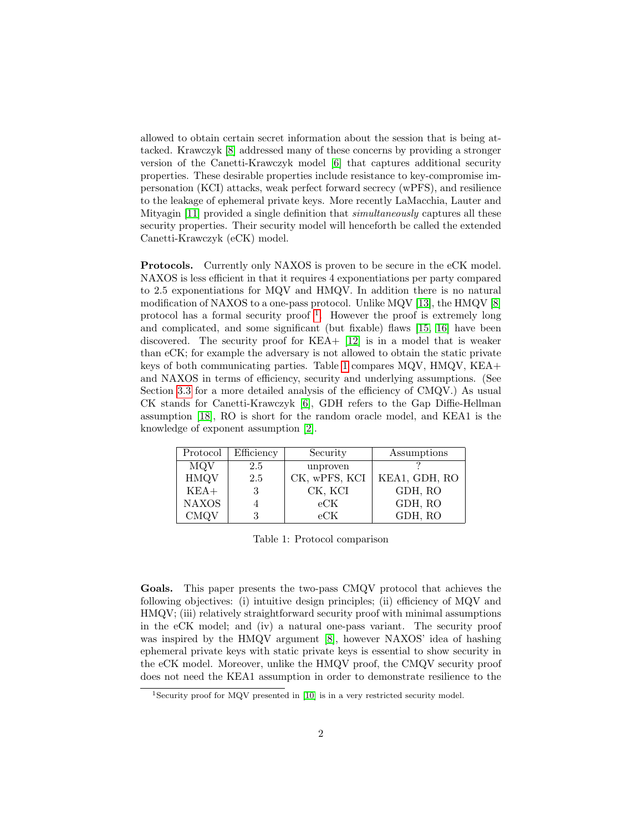allowed to obtain certain secret information about the session that is being attacked. Krawczyk [\[8\]](#page-16-0) addressed many of these concerns by providing a stronger version of the Canetti-Krawczyk model [\[6\]](#page-16-4) that captures additional security properties. These desirable properties include resistance to key-compromise impersonation (KCI) attacks, weak perfect forward secrecy (wPFS), and resilience to the leakage of ephemeral private keys. More recently LaMacchia, Lauter and Mityagin [\[11\]](#page-16-2) provided a single definition that *simultaneously* captures all these security properties. Their security model will henceforth be called the extended Canetti-Krawczyk (eCK) model.

Protocols. Currently only NAXOS is proven to be secure in the eCK model. NAXOS is less efficient in that it requires 4 exponentiations per party compared to 2.5 exponentiations for MQV and HMQV. In addition there is no natural modification of NAXOS to a one-pass protocol. Unlike MQV [\[13\]](#page-16-5), the HMQV [\[8\]](#page-16-0) protocol has a formal security proof<sup>[1](#page-1-0)</sup>. However the proof is extremely long and complicated, and some significant (but fixable) flaws [\[15,](#page-16-6) [16\]](#page-16-7) have been discovered. The security proof for KEA+ [\[12\]](#page-16-1) is in a model that is weaker than eCK; for example the adversary is not allowed to obtain the static private keys of both communicating parties. Table [1](#page-1-1) compares MQV, HMQV, KEA+ and NAXOS in terms of efficiency, security and underlying assumptions. (See Section [3.3](#page-7-0) for a more detailed analysis of the efficiency of CMQV.) As usual CK stands for Canetti-Krawczyk [\[6\]](#page-16-4), GDH refers to the Gap Diffie-Hellman assumption [\[18\]](#page-16-8), RO is short for the random oracle model, and KEA1 is the knowledge of exponent assumption [\[2\]](#page-15-2).

| Protocol     | Efficiency | Security      | Assumptions   |
|--------------|------------|---------------|---------------|
| MQV          | 2.5        | unproven      |               |
| <b>HMQV</b>  | 2.5        | CK, wPFS, KCI | KEA1, GDH, RO |
| $KEA+$       | 3          | CK, KCI       | GDH, RO       |
| <b>NAXOS</b> |            | eCK           | GDH, RO       |
| <b>CMQV</b>  |            | eCK           | GDH, RO       |

<span id="page-1-1"></span>Table 1: Protocol comparison

Goals. This paper presents the two-pass CMQV protocol that achieves the following objectives: (i) intuitive design principles; (ii) efficiency of MQV and HMQV; (iii) relatively straightforward security proof with minimal assumptions in the eCK model; and (iv) a natural one-pass variant. The security proof was inspired by the HMQV argument [\[8\]](#page-16-0), however NAXOS' idea of hashing ephemeral private keys with static private keys is essential to show security in the eCK model. Moreover, unlike the HMQV proof, the CMQV security proof does not need the KEA1 assumption in order to demonstrate resilience to the

<span id="page-1-0"></span><sup>1</sup>Security proof for MQV presented in [\[10\]](#page-16-9) is in a very restricted security model.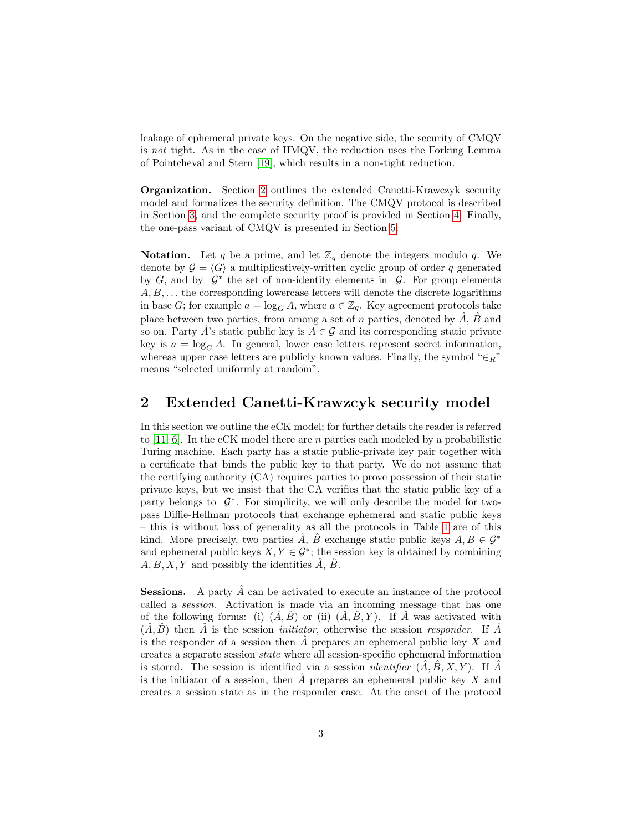leakage of ephemeral private keys. On the negative side, the security of CMQV is not tight. As in the case of HMQV, the reduction uses the Forking Lemma of Pointcheval and Stern [\[19\]](#page-17-0), which results in a non-tight reduction.

Organization. Section [2](#page-2-0) outlines the extended Canetti-Krawczyk security model and formalizes the security definition. The CMQV protocol is described in Section [3,](#page-4-0) and the complete security proof is provided in Section [4.](#page-8-0) Finally, the one-pass variant of CMQV is presented in Section [5.](#page-13-0)

**Notation.** Let q be a prime, and let  $\mathbb{Z}_q$  denote the integers modulo q. We denote by  $\mathcal{G} = \langle G \rangle$  a multiplicatively-written cyclic group of order q generated by  $G$ , and by  $\mathcal{G}^*$  the set of non-identity elements in  $\mathcal{G}$ . For group elements  $A, B, \ldots$  the corresponding lowercase letters will denote the discrete logarithms in base G; for example  $a = \log_G A$ , where  $a \in \mathbb{Z}_q$ . Key agreement protocols take place between two parties, from among a set of n parties, denoted by  $\ddot{A}$ ,  $\ddot{B}$  and so on. Party A's static public key is  $A \in \mathcal{G}$  and its corresponding static private key is  $a = \log_G A$ . In general, lower case letters represent secret information, whereas upper case letters are publicly known values. Finally, the symbol " $\in_R$ " means "selected uniformly at random".

### <span id="page-2-0"></span>2 Extended Canetti-Krawzcyk security model

In this section we outline the eCK model; for further details the reader is referred to [\[11,](#page-16-2) [6\]](#page-16-4). In the eCK model there are n parties each modeled by a probabilistic Turing machine. Each party has a static public-private key pair together with a certificate that binds the public key to that party. We do not assume that the certifying authority (CA) requires parties to prove possession of their static private keys, but we insist that the CA verifies that the static public key of a party belongs to  $\mathcal{G}^*$ . For simplicity, we will only describe the model for twopass Diffie-Hellman protocols that exchange ephemeral and static public keys – this is without loss of generality as all the protocols in Table [1](#page-1-1) are of this kind. More precisely, two parties A, B exchange static public keys  $A, B \in \mathcal{G}^*$ and ephemeral public keys  $X, Y \in \mathcal{G}^*$ ; the session key is obtained by combining  $A, B, X, Y$  and possibly the identities  $\tilde{A}, \tilde{B}$ .

**Sessions.** A party  $\hat{A}$  can be activated to execute an instance of the protocol called a session. Activation is made via an incoming message that has one of the following forms: (i)  $(\hat{A}, \hat{B})$  or (ii)  $(\hat{A}, \hat{B}, Y)$ . If  $\hat{A}$  was activated with  $(\hat{A}, \hat{B})$  then  $\hat{A}$  is the session *initiator*, otherwise the session *responder*. If  $\hat{A}$ is the responder of a session then A prepares an ephemeral public key  $X$  and creates a separate session state where all session-specific ephemeral information is stored. The session is identified via a session *identifier*  $(A, B, X, Y)$ . If A is the initiator of a session, then  $\hat{A}$  prepares an ephemeral public key X and creates a session state as in the responder case. At the onset of the protocol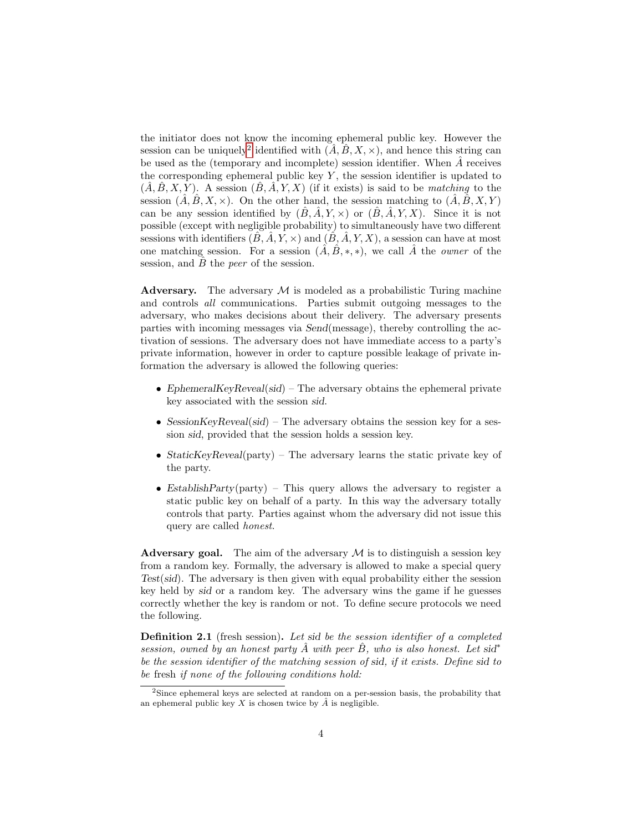the initiator does not know the incoming ephemeral public key. However the session can be uniquely<sup>[2](#page-3-0)</sup> identified with  $(A, \hat{B}, X, \times)$ , and hence this string can be used as the (temporary and incomplete) session identifier. When  $A$  receives the corresponding ephemeral public key  $Y$ , the session identifier is updated to  $(A, B, X, Y)$ . A session  $(B, A, Y, X)$  (if it exists) is said to be matching to the session  $(\hat{A}, \hat{B}, X, \times)$ . On the other hand, the session matching to  $(\hat{A}, \hat{B}, X, Y)$ can be any session identified by  $(\hat{B}, \hat{A}, Y, \times)$  or  $(\hat{B}, \hat{A}, Y, X)$ . Since it is not possible (except with negligible probability) to simultaneously have two different sessions with identifiers  $(\hat{B}, \hat{A}, Y, \times)$  and  $(\hat{B}, \hat{A}, Y, X)$ , a session can have at most one matching session. For a session  $(\hat{A}, \hat{B}, *, *)$ , we call  $\hat{A}$  the *owner* of the session, and  $\ddot{B}$  the *peer* of the session.

**Adversary.** The adversary  $M$  is modeled as a probabilistic Turing machine and controls all communications. Parties submit outgoing messages to the adversary, who makes decisions about their delivery. The adversary presents parties with incoming messages via Send(message), thereby controlling the activation of sessions. The adversary does not have immediate access to a party's private information, however in order to capture possible leakage of private information the adversary is allowed the following queries:

- EphemeralKeyReveal(sid) The adversary obtains the ephemeral private key associated with the session sid.
- SessionKeyReveal(sid) The adversary obtains the session key for a session sid, provided that the session holds a session key.
- StaticKeyReveal(party) The adversary learns the static private key of the party.
- Establish Party (party) This query allows the adversary to register a static public key on behalf of a party. In this way the adversary totally controls that party. Parties against whom the adversary did not issue this query are called honest.

Adversary goal. The aim of the adversary  $M$  is to distinguish a session key from a random key. Formally, the adversary is allowed to make a special query Test(sid). The adversary is then given with equal probability either the session key held by sid or a random key. The adversary wins the game if he guesses correctly whether the key is random or not. To define secure protocols we need the following.

Definition 2.1 (fresh session). Let sid be the session identifier of a completed session, owned by an honest party  $\hat{A}$  with peer  $\hat{B}$ , who is also honest. Let sid<sup>\*</sup> be the session identifier of the matching session of sid, if it exists. Define sid to be fresh if none of the following conditions hold:

<span id="page-3-0"></span><sup>2</sup>Since ephemeral keys are selected at random on a per-session basis, the probability that an ephemeral public key X is chosen twice by  $\hat{A}$  is negligible.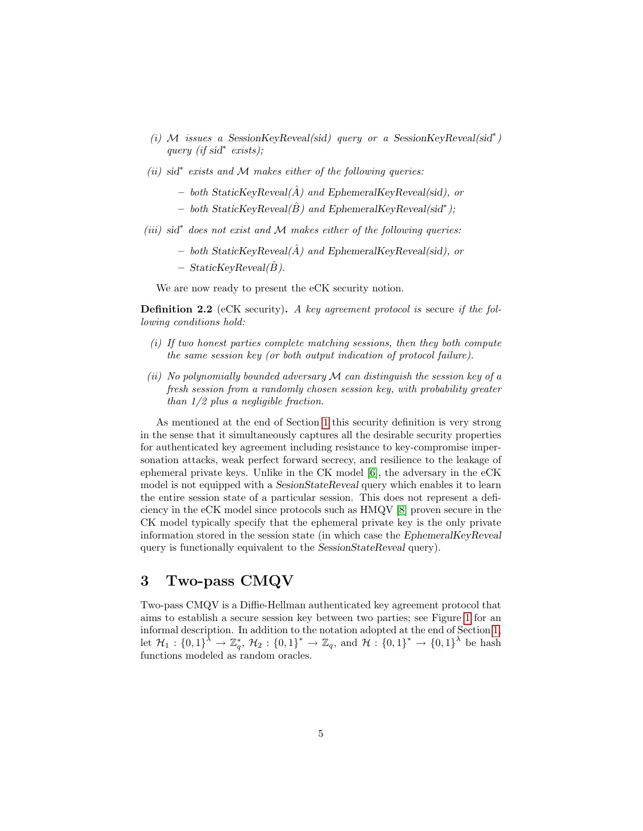- (i) M issues a SessionKeyReveal(sid) query or a SessionKeyReveal(sid<sup>\*</sup>) query (if sid<sup>∗</sup> exists);
- $(ii)$  sid<sup>\*</sup> exists and M makes either of the following queries:
	- both StaticKeyReveal( $\hat{A}$ ) and EphemeralKeyReveal(sid), or
	- $-$  both StaticKeyReveal( $\hat{B}$ ) and EphemeralKeyReveal(sid<sup>\*</sup>);
- $(iii)$  sid<sup>\*</sup> does not exist and M makes either of the following queries:
	- both StaticKeyReveal( $\hat{A}$ ) and EphemeralKeyReveal(sid), or
	- $-$  StaticKeyReveal( $\hat{B}$ ).

We are now ready to present the eCK security notion.

<span id="page-4-1"></span>**Definition 2.2** (eCK security). A key agreement protocol is secure if the following conditions hold:

- (i) If two honest parties complete matching sessions, then they both compute the same session key (or both output indication of protocol failure).
- (ii) No polynomially bounded adversary  $\mathcal M$  can distinguish the session key of a fresh session from a randomly chosen session key, with probability greater than 1/2 plus a negligible fraction.

As mentioned at the end of Section [1](#page-0-0) this security definition is very strong in the sense that it simultaneously captures all the desirable security properties for authenticated key agreement including resistance to key-compromise impersonation attacks, weak perfect forward secrecy, and resilience to the leakage of ephemeral private keys. Unlike in the CK model [\[6\]](#page-16-4), the adversary in the eCK model is not equipped with a SesionStateReveal query which enables it to learn the entire session state of a particular session. This does not represent a deficiency in the eCK model since protocols such as HMQV [\[8\]](#page-16-0) proven secure in the CK model typically specify that the ephemeral private key is the only private information stored in the session state (in which case the EphemeralKeyReveal query is functionally equivalent to the SessionStateReveal query).

# <span id="page-4-0"></span>3 Two-pass CMQV

Two-pass CMQV is a Diffie-Hellman authenticated key agreement protocol that aims to establish a secure session key between two parties; see Figure [1](#page-5-0) for an informal description. In addition to the notation adopted at the end of Section [1,](#page-0-0) let  $\mathcal{H}_1: \{0,1\}^{\lambda} \to \mathbb{Z}_q^*, \; \mathcal{H}_2: \{0,1\}^* \to \mathbb{Z}_q$ , and  $\mathcal{H}: \{0,1\}^* \to \{0,1\}^{\lambda}$  be hash functions modeled as random oracles.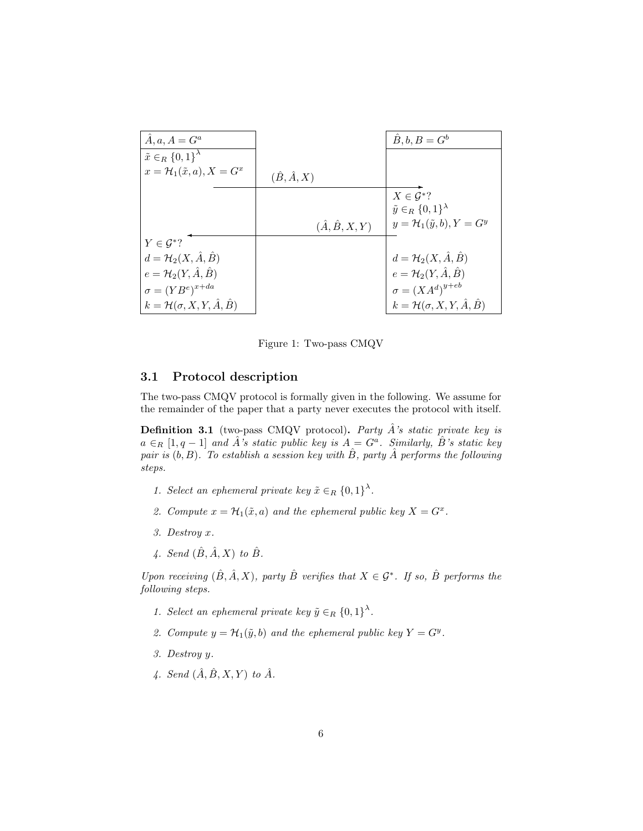| $\ddot{A}, a, A = G^a$                            |                            | $\hat{B}, b, B = G^b$                                         |
|---------------------------------------------------|----------------------------|---------------------------------------------------------------|
| $\tilde{x} \in_R \{0,1\}^{\lambda}$               |                            |                                                               |
| $x = \mathcal{H}_1(\tilde{x}, a), X = G^x$        | $(\hat{B}, \hat{A}, X)$    |                                                               |
|                                                   |                            | $X \in \mathcal{G}^*?$<br>$\tilde{y} \in_R \{0,1\}^{\lambda}$ |
|                                                   | $(\hat{A}, \hat{B}, X, Y)$ | $y = \mathcal{H}_1(\tilde{y}, b), Y = G^y$                    |
|                                                   |                            |                                                               |
| $Y \in \mathcal{G}^*?$                            |                            |                                                               |
| $d = \mathcal{H}_2(X, \hat{A}, \hat{B})$          |                            | $d = \mathcal{H}_2(X, \hat{A}, \hat{B})$                      |
| $e = \mathcal{H}_2(Y, \hat{A}, \hat{B})$          |                            | $e = \mathcal{H}_2(Y, \hat{A}, \hat{B})$                      |
| $\sigma = (YB^e)^{x+da}$                          |                            | $\sigma = (XA^d)^{y+eb}$                                      |
| $k = \mathcal{H}(\sigma, X, Y, \hat{A}, \hat{B})$ |                            | $k = \mathcal{H}(\sigma, X, Y, \hat{A}, \hat{B})$             |

<span id="page-5-0"></span>Figure 1: Two-pass CMQV

#### 3.1 Protocol description

The two-pass CMQV protocol is formally given in the following. We assume for the remainder of the paper that a party never executes the protocol with itself.

<span id="page-5-1"></span>**Definition 3.1** (two-pass CMQV protocol). Party  $\hat{A}$ 's static private key is  $a \in_R [1, q-1]$  and  $\hat{A}$ 's static public key is  $A = G^a$ . Similarly,  $\hat{B}$ 's static key pair is  $(b, B)$ . To establish a session key with  $\hat{B}$ , party  $\hat{A}$  performs the following steps.

- 1. Select an ephemeral private key  $\tilde{x} \in_R \{0,1\}^{\lambda}$ .
- 2. Compute  $x = \mathcal{H}_1(\tilde{x}, a)$  and the ephemeral public key  $X = G^x$ .
- 3. Destroy x.
- 4. Send  $(\hat{B}, \hat{A}, X)$  to  $\hat{B}$ .

Upon receiving  $(\hat{B}, \hat{A}, X)$ , party  $\hat{B}$  verifies that  $X \in \mathcal{G}^*$ . If so,  $\hat{B}$  performs the following steps.

- 1. Select an ephemeral private key  $\tilde{y} \in_R \{0,1\}^{\lambda}$ .
- 2. Compute  $y = \mathcal{H}_1(\tilde{y}, b)$  and the ephemeral public key  $Y = G^y$ .
- 3. Destroy y.
- 4. Send  $(\hat{A}, \hat{B}, X, Y)$  to  $\hat{A}$ .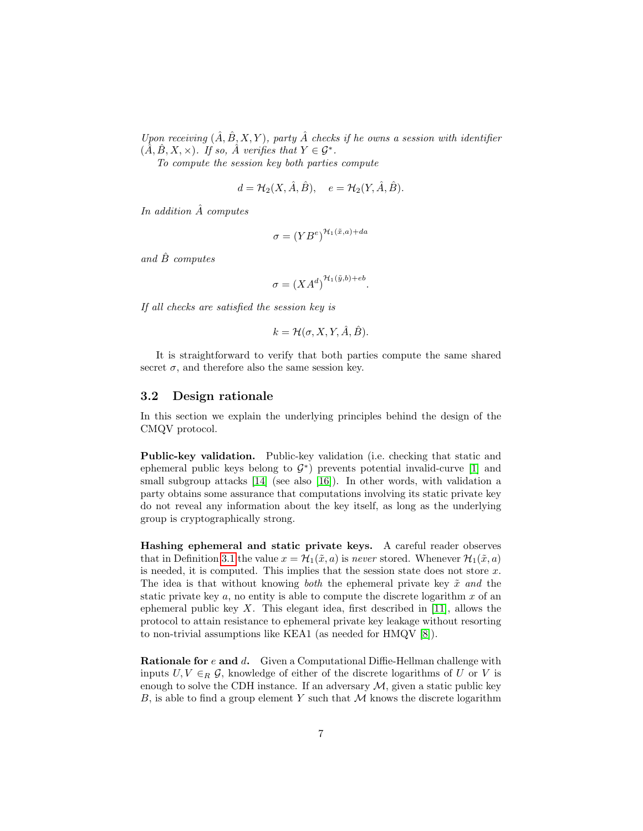Upon receiving  $(\hat{A}, \hat{B}, X, Y)$ , party  $\hat{A}$  checks if he owns a session with identifier  $(\tilde{A}, \hat{B}, X, \times)$ . If so,  $\hat{A}$  verifies that  $Y \in \mathcal{G}^*$ .

To compute the session key both parties compute

$$
d = \mathcal{H}_2(X, \hat{A}, \hat{B}), \quad e = \mathcal{H}_2(Y, \hat{A}, \hat{B}).
$$

In addition  $\AA$  computes

$$
\sigma = \left( YB^e \right)^{\mathcal{H}_1(\tilde{x},a) + da}
$$

and  $\hat{B}$  computes

$$
\sigma = (XA^d)^{\mathcal{H}_1(\tilde{y},b) + eb}.
$$

If all checks are satisfied the session key is

$$
k = \mathcal{H}(\sigma, X, Y, \hat{A}, \hat{B}).
$$

It is straightforward to verify that both parties compute the same shared secret  $\sigma$ , and therefore also the same session key.

#### 3.2 Design rationale

In this section we explain the underlying principles behind the design of the CMQV protocol.

Public-key validation. Public-key validation (i.e. checking that static and ephemeral public keys belong to  $G^*$ ) prevents potential invalid-curve [\[1\]](#page-15-3) and small subgroup attacks [\[14\]](#page-16-10) (see also [\[16\]](#page-16-7)). In other words, with validation a party obtains some assurance that computations involving its static private key do not reveal any information about the key itself, as long as the underlying group is cryptographically strong.

Hashing ephemeral and static private keys. A careful reader observes that in Definition [3.1](#page-5-1) the value  $x = \mathcal{H}_1(\tilde{x}, a)$  is never stored. Whenever  $\mathcal{H}_1(\tilde{x}, a)$ is needed, it is computed. This implies that the session state does not store  $x$ . The idea is that without knowing *both* the ephemeral private key  $\tilde{x}$  and the static private key  $a$ , no entity is able to compute the discrete logarithm  $x$  of an ephemeral public key X. This elegant idea, first described in  $[11]$ , allows the protocol to attain resistance to ephemeral private key leakage without resorting to non-trivial assumptions like KEA1 (as needed for HMQV [\[8\]](#page-16-0)).

**Rationale for**  $e$  **and**  $d$ **.** Given a Computational Diffie-Hellman challenge with inputs  $U, V \in_R \mathcal{G}$ , knowledge of either of the discrete logarithms of U or V is enough to solve the CDH instance. If an adversary  $M$ , given a static public key B, is able to find a group element Y such that  $M$  knows the discrete logarithm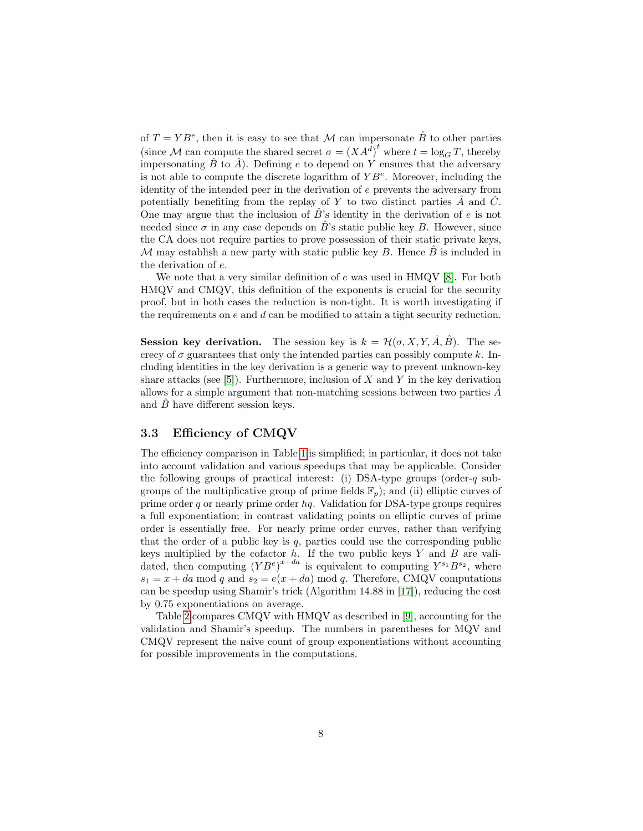of  $T = YB^e$ , then it is easy to see that M can impersonate  $\hat{B}$  to other parties (since M can compute the shared secret  $\sigma = (XA^d)^t$  where  $t = \log_G T$ , thereby impersonating  $\hat{B}$  to  $\hat{A}$ ). Defining e to depend on Y ensures that the adversary is not able to compute the discrete logarithm of  $YB<sup>e</sup>$ . Moreover, including the identity of the intended peer in the derivation of e prevents the adversary from potentially benefiting from the replay of Y to two distinct parties  $\ddot{A}$  and  $\ddot{C}$ . One may argue that the inclusion of  $\hat{B}$ 's identity in the derivation of e is not needed since  $\sigma$  in any case depends on B's static public key B. However, since the CA does not require parties to prove possession of their static private keys, M may establish a new party with static public key  $B$ . Hence  $\overline{B}$  is included in the derivation of e.

We note that a very similar definition of  $e$  was used in HMQV [\[8\]](#page-16-0). For both HMQV and CMQV, this definition of the exponents is crucial for the security proof, but in both cases the reduction is non-tight. It is worth investigating if the requirements on  $e$  and  $d$  can be modified to attain a tight security reduction.

**Session key derivation.** The session key is  $k = \mathcal{H}(\sigma, X, Y, \hat{A}, \hat{B})$ . The secrecy of  $\sigma$  guarantees that only the intended parties can possibly compute k. Including identities in the key derivation is a generic way to prevent unknown-key share attacks (see [\[5\]](#page-15-4)). Furthermore, inclusion of  $X$  and  $Y$  in the key derivation allows for a simple argument that non-matching sessions between two parties  $\ddot{A}$ and  $\ddot{B}$  have different session keys.

### <span id="page-7-0"></span>3.3 Efficiency of CMQV

The efficiency comparison in Table [1](#page-1-1) is simplified; in particular, it does not take into account validation and various speedups that may be applicable. Consider the following groups of practical interest: (i) DSA-type groups (order-q subgroups of the multiplicative group of prime fields  $\mathbb{F}_p$ ); and (ii) elliptic curves of prime order q or nearly prime order  $hq$ . Validation for DSA-type groups requires a full exponentiation; in contrast validating points on elliptic curves of prime order is essentially free. For nearly prime order curves, rather than verifying that the order of a public key is  $q$ , parties could use the corresponding public keys multiplied by the cofactor  $h$ . If the two public keys Y and B are validated, then computing  $(YB^e)^{x+da}$  is equivalent to computing  $Y^{s_1}B^{s_2}$ , where  $s_1 = x + da \mod q$  and  $s_2 = e(x + da) \mod q$ . Therefore, CMQV computations can be speedup using Shamir's trick (Algorithm 14.88 in [\[17\]](#page-16-11)), reducing the cost by 0.75 exponentiations on average.

Table [2](#page-8-1) compares CMQV with HMQV as described in [\[9\]](#page-16-12), accounting for the validation and Shamir's speedup. The numbers in parentheses for MQV and CMQV represent the naive count of group exponentiations without accounting for possible improvements in the computations.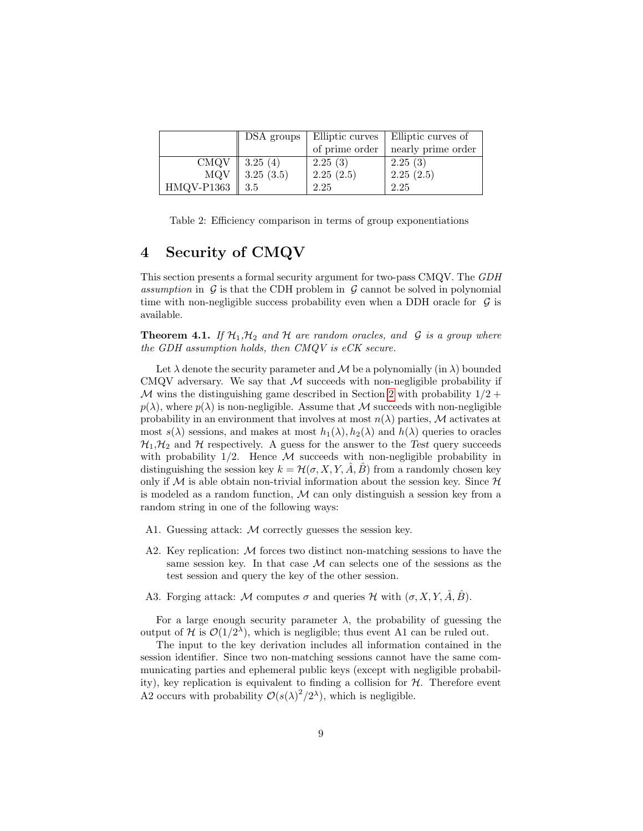|            | DSA groups |                | Elliptic curves   Elliptic curves of |
|------------|------------|----------------|--------------------------------------|
|            |            | of prime order | nearly prime order                   |
| CMQV       | 3.25(4)    | 2.25(3)        | 2.25(3)                              |
| MQV        | 3.25(3.5)  | 2.25(2.5)      | 2.25(2.5)                            |
| HMQV-P1363 | 3.5        | 2.25           | 2.25                                 |

<span id="page-8-1"></span>Table 2: Efficiency comparison in terms of group exponentiations

# <span id="page-8-0"></span>4 Security of CMQV

This section presents a formal security argument for two-pass CMQV. The GDH assumption in  $G$  is that the CDH problem in  $G$  cannot be solved in polynomial time with non-negligible success probability even when a DDH oracle for  $\mathcal G$  is available.

**Theorem 4.1.** If  $\mathcal{H}_1, \mathcal{H}_2$  and  $\mathcal{H}$  are random oracles, and  $\mathcal{G}$  is a group where the GDH assumption holds, then CMQV is eCK secure.

Let  $\lambda$  denote the security parameter and  $\mathcal M$  be a polynomially (in  $\lambda$ ) bounded CMQV adversary. We say that  $M$  succeeds with non-negligible probability if M wins the distinguishing game described in Section [2](#page-2-0) with probability  $1/2 +$  $p(\lambda)$ , where  $p(\lambda)$  is non-negligible. Assume that M succeeds with non-negligible probability in an environment that involves at most  $n(\lambda)$  parties, M activates at most  $s(\lambda)$  sessions, and makes at most  $h_1(\lambda), h_2(\lambda)$  and  $h(\lambda)$  queries to oracles  $\mathcal{H}_1, \mathcal{H}_2$  and  $\mathcal H$  respectively. A guess for the answer to the Test query succeeds with probability  $1/2$ . Hence M succeeds with non-negligible probability in distinguishing the session key  $k = H(\sigma, X, Y, \hat{A}, \hat{B})$  from a randomly chosen key only if  $M$  is able obtain non-trivial information about the session key. Since  $H$ is modeled as a random function, M can only distinguish a session key from a random string in one of the following ways:

- A1. Guessing attack: M correctly guesses the session key.
- A2. Key replication:  $\mathcal M$  forces two distinct non-matching sessions to have the same session key. In that case  $M$  can selects one of the sessions as the test session and query the key of the other session.
- A3. Forging attack: M computes  $\sigma$  and queries H with  $(\sigma, X, Y, \hat{A}, \hat{B})$ .

For a large enough security parameter  $\lambda$ , the probability of guessing the output of H is  $\mathcal{O}(1/2^{\lambda})$ , which is negligible; thus event A1 can be ruled out.

The input to the key derivation includes all information contained in the session identifier. Since two non-matching sessions cannot have the same communicating parties and ephemeral public keys (except with negligible probability), key replication is equivalent to finding a collision for  $H$ . Therefore event A2 occurs with probability  $\mathcal{O}(s(\lambda)^2/2^{\lambda})$ , which is negligible.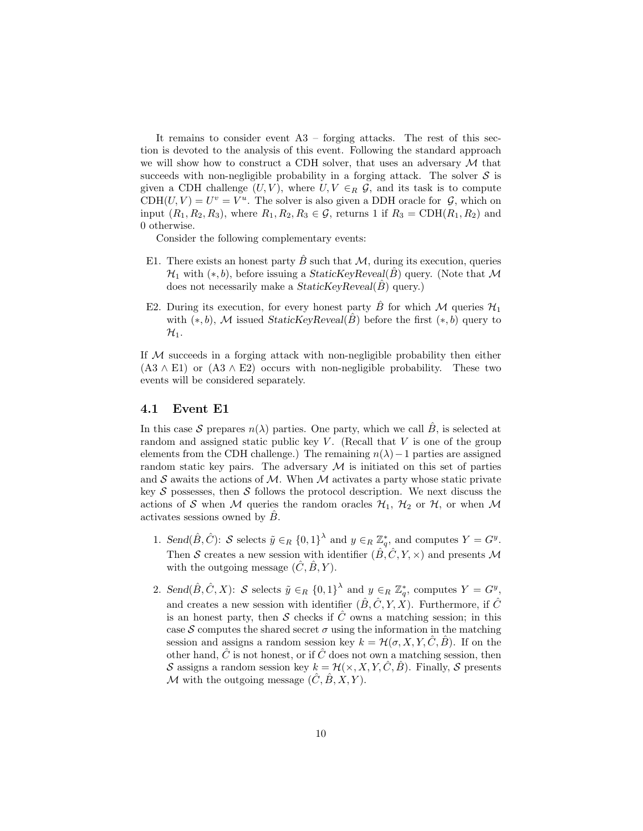It remains to consider event A3 – forging attacks. The rest of this section is devoted to the analysis of this event. Following the standard approach we will show how to construct a CDH solver, that uses an adversary  $\mathcal M$  that succeeds with non-negligible probability in a forging attack. The solver  $S$  is given a CDH challenge  $(U, V)$ , where  $U, V \in_R \mathcal{G}$ , and its task is to compute  $CDH(U, V) = U^v = V^u$ . The solver is also given a DDH oracle for  $G$ , which on input  $(R_1, R_2, R_3)$ , where  $R_1, R_2, R_3 \in \mathcal{G}$ , returns 1 if  $R_3 = \text{CDH}(R_1, R_2)$  and 0 otherwise.

Consider the following complementary events:

- E1. There exists an honest party  $\hat{B}$  such that  $\cal{M}$ , during its execution, queries  $\mathcal{H}_1$  with  $(*, b)$ , before issuing a StaticKeyReveal( $\hat{B}$ ) query. (Note that M does not necessarily make a  $StaticKeyReveal(\hat{B})$  query.)
- E2. During its execution, for every honest party B for which M queries  $\mathcal{H}_1$ with  $(*, b)$ , M issued StaticKeyReveal(B) before the first  $(*, b)$  query to  $\mathcal{H}_1$ .

If M succeeds in a forging attack with non-negligible probability then either  $(A3 \wedge E1)$  or  $(A3 \wedge E2)$  occurs with non-negligible probability. These two events will be considered separately.

#### <span id="page-9-0"></span>4.1 Event E1

In this case S prepares  $n(\lambda)$  parties. One party, which we call  $\hat{B}$ , is selected at random and assigned static public key  $V$ . (Recall that  $V$  is one of the group elements from the CDH challenge.) The remaining  $n(\lambda)-1$  parties are assigned random static key pairs. The adversary  $M$  is initiated on this set of parties and  $S$  awaits the actions of M. When M activates a party whose static private key S possesses, then S follows the protocol description. We next discuss the actions of S when M queries the random oracles  $\mathcal{H}_1$ ,  $\mathcal{H}_2$  or  $\mathcal{H}$ , or when M activates sessions owned by  $\hat{B}$ .

- 1. Send $(\hat{B}, \hat{C})$ : S selects  $\tilde{y} \in_R \{0,1\}^{\lambda}$  and  $y \in_R \mathbb{Z}_q^*$ , and computes  $Y = G^y$ . Then S creates a new session with identifier  $(\hat{B}, \hat{C}, Y, \times)$  and presents M with the outgoing message  $(\hat{C}, \hat{B}, Y)$ .
- 2. Send $(\hat{B}, \hat{C}, X)$ : S selects  $\tilde{y} \in_R \{0, 1\}^{\lambda}$  and  $y \in_R \mathbb{Z}_q^*$ , computes  $Y = G^y$ , and creates a new session with identifier  $(\hat{B}, \hat{C}, Y, X)$ . Furthermore, if  $\hat{C}$ is an honest party, then S checks if  $\hat{C}$  owns a matching session; in this case S computes the shared secret  $\sigma$  using the information in the matching session and assigns a random session key  $k = \mathcal{H}(\sigma, X, Y, C, B)$ . If on the other hand,  $\hat{C}$  is not honest, or if  $\hat{C}$  does not own a matching session, then S assigns a random session key  $k = \mathcal{H}(\times, X, Y, \hat{C}, \hat{B})$ . Finally, S presents M with the outgoing message  $(\hat{C}, \hat{B}, X, Y)$ .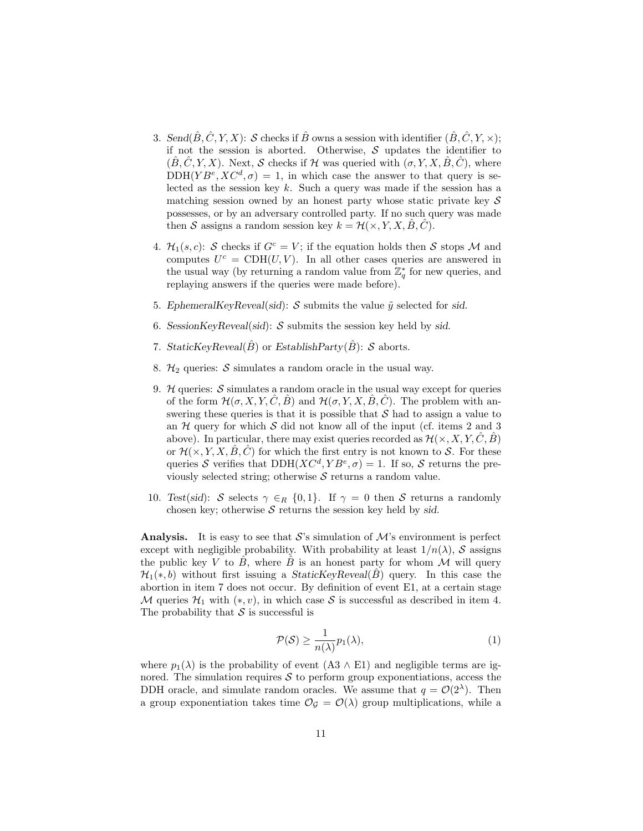- 3. Send $(\hat{B}, \hat{C}, Y, X)$ : S checks if  $\hat{B}$  owns a session with identifier  $(\hat{B}, \hat{C}, Y, \times)$ ; if not the session is aborted. Otherwise,  $S$  updates the identifier to  $(\hat{B}, \hat{C}, Y, X)$ . Next, S checks if H was queried with  $(\sigma, Y, X, \hat{B}, \hat{C})$ , where  $DDH(YB^e, XC^d, \sigma) = 1$ , in which case the answer to that query is selected as the session key  $k$ . Such a query was made if the session has a matching session owned by an honest party whose static private key  $\mathcal S$ possesses, or by an adversary controlled party. If no such query was made then S assigns a random session key  $k = \mathcal{H}(\times, Y, X, \hat{B}, \hat{C})$ .
- 4.  $\mathcal{H}_1(s, c)$ : S checks if  $G^c = V$ ; if the equation holds then S stops M and computes  $U^c = \text{CDH}(U, V)$ . In all other cases queries are answered in the usual way (by returning a random value from  $\mathbb{Z}_q^*$  for new queries, and replaying answers if the queries were made before).
- 5. EphemeralKeyReveal(sid): S submits the value  $\tilde{y}$  selected for sid.
- 6. SessionKeyReveal(sid):  $S$  submits the session key held by sid.
- 7. StaticKeyReveal( $\hat{B}$ ) or EstablishParty( $\hat{B}$ ): S aborts.
- 8.  $\mathcal{H}_2$  queries: S simulates a random oracle in the usual way.
- 9.  $H$  queries:  $S$  simulates a random oracle in the usual way except for queries of the form  $\mathcal{H}(\sigma, X, Y, \hat{C}, \hat{B})$  and  $\mathcal{H}(\sigma, Y, X, \hat{B}, \hat{C})$ . The problem with answering these queries is that it is possible that  $S$  had to assign a value to an  $H$  query for which  $S$  did not know all of the input (cf. items 2 and 3 above). In particular, there may exist queries recorded as  $\mathcal{H}(\times, X, Y, \hat{C}, \hat{B})$ or  $\mathcal{H}(\times, Y, X, \hat{B}, \hat{C})$  for which the first entry is not known to S. For these queries S verifies that  $DDH(XC^d, YB^e, \sigma) = 1$ . If so, S returns the previously selected string; otherwise  $S$  returns a random value.
- 10. Test(sid): S selects  $\gamma \in_R \{0,1\}$ . If  $\gamma = 0$  then S returns a randomly chosen key; otherwise  $S$  returns the session key held by sid.

**Analysis.** It is easy to see that S's simulation of  $\mathcal{M}$ 's environment is perfect except with negligible probability. With probability at least  $1/n(\lambda)$ , S assigns the public key V to  $\ddot{B}$ , where  $\ddot{B}$  is an honest party for whom M will query  $\mathcal{H}_1(*,b)$  without first issuing a *StaticKeyReveal(B)* query. In this case the abortion in item 7 does not occur. By definition of event E1, at a certain stage M queries  $\mathcal{H}_1$  with  $(*, v)$ , in which case S is successful as described in item 4. The probability that  $S$  is successful is

<span id="page-10-0"></span>
$$
\mathcal{P}(\mathcal{S}) \ge \frac{1}{n(\lambda)} p_1(\lambda),\tag{1}
$$

where  $p_1(\lambda)$  is the probability of event (A3  $\wedge$  E1) and negligible terms are ignored. The simulation requires  $S$  to perform group exponentiations, access the DDH oracle, and simulate random oracles. We assume that  $q = \mathcal{O}(2^{\lambda})$ . Then a group exponentiation takes time  $\mathcal{O}_{\mathcal{G}} = \mathcal{O}(\lambda)$  group multiplications, while a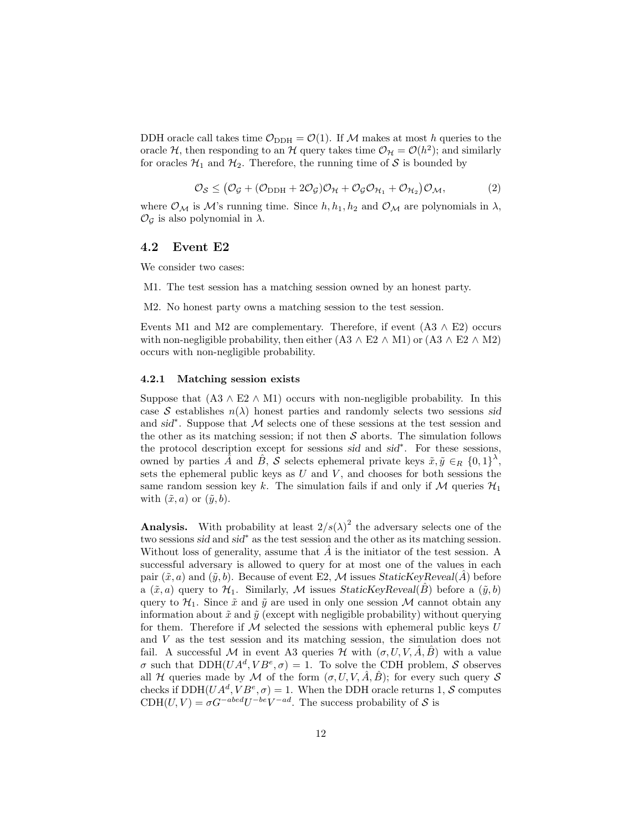DDH oracle call takes time  $\mathcal{O}_{DDH} = \mathcal{O}(1)$ . If M makes at most h queries to the oracle H, then responding to an H query takes time  $\mathcal{O}_{\mathcal{H}} = \mathcal{O}(h^2)$ ; and similarly for oracles  $\mathcal{H}_1$  and  $\mathcal{H}_2$ . Therefore, the running time of S is bounded by

<span id="page-11-1"></span>
$$
\mathcal{O}_{\mathcal{S}} \leq (\mathcal{O}_{\mathcal{G}} + (\mathcal{O}_{\text{DDH}} + 2\mathcal{O}_{\mathcal{G}})\mathcal{O}_{\mathcal{H}} + \mathcal{O}_{\mathcal{G}}\mathcal{O}_{\mathcal{H}_1} + \mathcal{O}_{\mathcal{H}_2})\mathcal{O}_{\mathcal{M}},
$$
(2)

where  $\mathcal{O}_\mathcal{M}$  is  $\mathcal{M}$ 's running time. Since  $h, h_1, h_2$  and  $\mathcal{O}_\mathcal{M}$  are polynomials in  $\lambda$ ,  $\mathcal{O}_{\mathcal{G}}$  is also polynomial in  $\lambda$ .

#### 4.2 Event E2

We consider two cases:

M1. The test session has a matching session owned by an honest party.

M2. No honest party owns a matching session to the test session.

Events M1 and M2 are complementary. Therefore, if event  $(A3 \wedge E2)$  occurs with non-negligible probability, then either  $(A3 \wedge E2 \wedge M1)$  or  $(A3 \wedge E2 \wedge M2)$ occurs with non-negligible probability.

#### <span id="page-11-0"></span>4.2.1 Matching session exists

Suppose that  $(A3 \wedge E2 \wedge M1)$  occurs with non-negligible probability. In this case S establishes  $n(\lambda)$  honest parties and randomly selects two sessions sid and sid<sup>\*</sup>. Suppose that M selects one of these sessions at the test session and the other as its matching session; if not then  $S$  aborts. The simulation follows the protocol description except for sessions sid and sid<sup>∗</sup> . For these sessions, owned by parties  $\hat{A}$  and  $\hat{B}$ ,  $\hat{S}$  selects ephemeral private keys  $\tilde{x}, \tilde{y} \in_R \{0,1\}^{\lambda}$ , sets the ephemeral public keys as  $U$  and  $V$ , and chooses for both sessions the same random session key k. The simulation fails if and only if M queries  $\mathcal{H}_1$ with  $(\tilde{x}, a)$  or  $(\tilde{y}, b)$ .

**Analysis.** With probability at least  $2/s(\lambda)^2$  the adversary selects one of the two sessions sid and sid<sup>∗</sup> as the test session and the other as its matching session. Without loss of generality, assume that  $\tilde{A}$  is the initiator of the test session. A successful adversary is allowed to query for at most one of the values in each pair  $(\tilde{x}, a)$  and  $(\tilde{y}, b)$ . Because of event E2, M issues StaticKeyReveal(A) before a  $(\tilde{x}, a)$  query to  $\mathcal{H}_1$ . Similarly, M issues StaticKeyReveal(B) before a  $(\tilde{y}, b)$ query to  $\mathcal{H}_1$ . Since  $\tilde{x}$  and  $\tilde{y}$  are used in only one session M cannot obtain any information about  $\tilde{x}$  and  $\tilde{y}$  (except with negligible probability) without querying for them. Therefore if  $M$  selected the sessions with ephemeral public keys U and V as the test session and its matching session, the simulation does not fail. A successful M in event A3 queries H with  $(\sigma, U, V, \hat{A}, \hat{B})$  with a value  $\sigma$  such that  $DDH(UA^d, VB^e, \sigma) = 1$ . To solve the CDH problem, S observes all H queries made by M of the form  $(\sigma, U, V, \hat{A}, \hat{B})$ ; for every such query S checks if  $DDH(UA^d, VB^e, \sigma) = 1$ . When the DDH oracle returns 1, S computes  $CDH(U, V) = \sigma G^{-abcd}U^{-be}V^{-ad}$ . The success probability of S is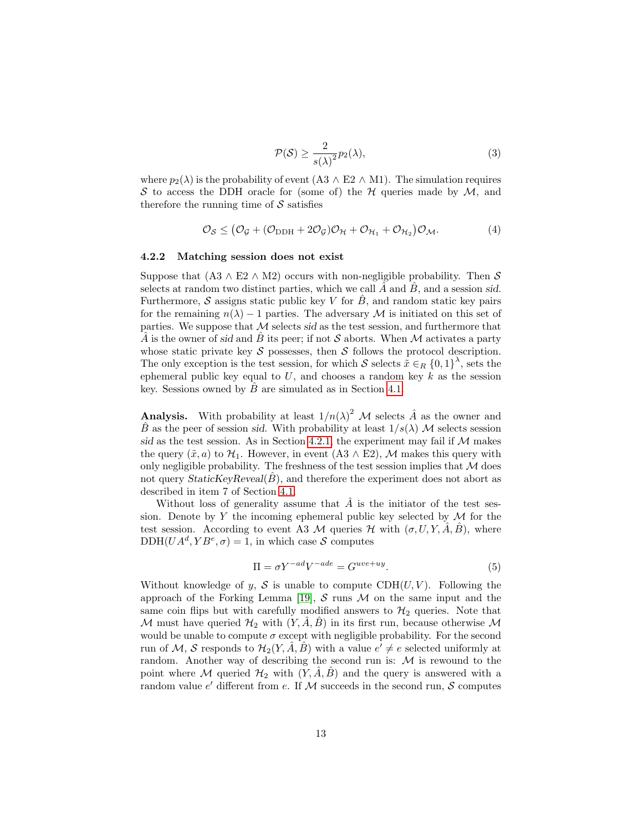<span id="page-12-0"></span>
$$
\mathcal{P}(\mathcal{S}) \ge \frac{2}{s(\lambda)^2} p_2(\lambda),\tag{3}
$$

where  $p_2(\lambda)$  is the probability of event (A3 ∧ E2 ∧ M1). The simulation requires S to access the DDH oracle for (some of) the H queries made by  $M$ , and therefore the running time of  $\mathcal S$  satisfies

<span id="page-12-1"></span>
$$
\mathcal{O}_{\mathcal{S}} \leq (\mathcal{O}_{\mathcal{G}} + (\mathcal{O}_{\mathrm{DDH}} + 2\mathcal{O}_{\mathcal{G}})\mathcal{O}_{\mathcal{H}} + \mathcal{O}_{\mathcal{H}_1} + \mathcal{O}_{\mathcal{H}_2})\mathcal{O}_{\mathcal{M}}.
$$
(4)

#### <span id="page-12-2"></span>4.2.2 Matching session does not exist

Suppose that  $(A3 \wedge E2 \wedge M2)$  occurs with non-negligible probability. Then S selects at random two distinct parties, which we call  $\ddot{A}$  and  $\ddot{B}$ , and a session sid. Furthermore, S assigns static public key V for  $\tilde{B}$ , and random static key pairs for the remaining  $n(\lambda) - 1$  parties. The adversary M is initiated on this set of parties. We suppose that  $\mathcal M$  selects sid as the test session, and furthermore that A is the owner of sid and B its peer; if not S aborts. When M activates a party whose static private key  $\mathcal S$  possesses, then  $\mathcal S$  follows the protocol description. The only exception is the test session, for which S selects  $\tilde{x} \in_R \{0,1\}^{\lambda}$ , sets the ephemeral public key equal to  $U$ , and chooses a random key k as the session key. Sessions owned by  $\ddot{B}$  are simulated as in Section [4.1.](#page-9-0)

**Analysis.** With probability at least  $1/n(\lambda)^2$  M selects  $\hat{A}$  as the owner and  $\hat{B}$  as the peer of session sid. With probability at least  $1/s(\lambda)$  M selects session sid as the test session. As in Section [4.2.1,](#page-11-0) the experiment may fail if  $M$  makes the query  $(\tilde{x}, a)$  to  $\mathcal{H}_1$ . However, in event  $(A3 \wedge E2)$ , M makes this query with only negligible probability. The freshness of the test session implies that  $M$  does not query  $StaticKeyReveal(\hat{B})$ , and therefore the experiment does not abort as described in item 7 of Section [4.1.](#page-9-0)

Without loss of generality assume that  $\hat{A}$  is the initiator of the test session. Denote by  $Y$  the incoming ephemeral public key selected by  $\mathcal M$  for the test session. According to event A3 M queries  $\mathcal H$  with  $(\sigma, U, Y, A, B)$ , where  $DDH(UA^d, YB^e, \sigma) = 1$ , in which case S computes

$$
\Pi = \sigma Y^{-ad} V^{-ade} = G^{uve+uy}.
$$
\n<sup>(5)</sup>

Without knowledge of y, S is unable to compute  $CDH(U, V)$ . Following the approach of the Forking Lemma [\[19\]](#page-17-0), S runs M on the same input and the same coin flips but with carefully modified answers to  $\mathcal{H}_2$  queries. Note that M must have queried  $\mathcal{H}_2$  with  $(Y, \hat{A}, \hat{B})$  in its first run, because otherwise M would be unable to compute  $\sigma$  except with negligible probability. For the second run of M, S responds to  $\mathcal{H}_2(Y, \hat{A}, \hat{B})$  with a value  $e' \neq e$  selected uniformly at random. Another way of describing the second run is:  $M$  is rewound to the point where M queried  $\mathcal{H}_2$  with  $(Y, \hat{A}, \hat{B})$  and the query is answered with a random value  $e'$  different from e. If M succeeds in the second run, S computes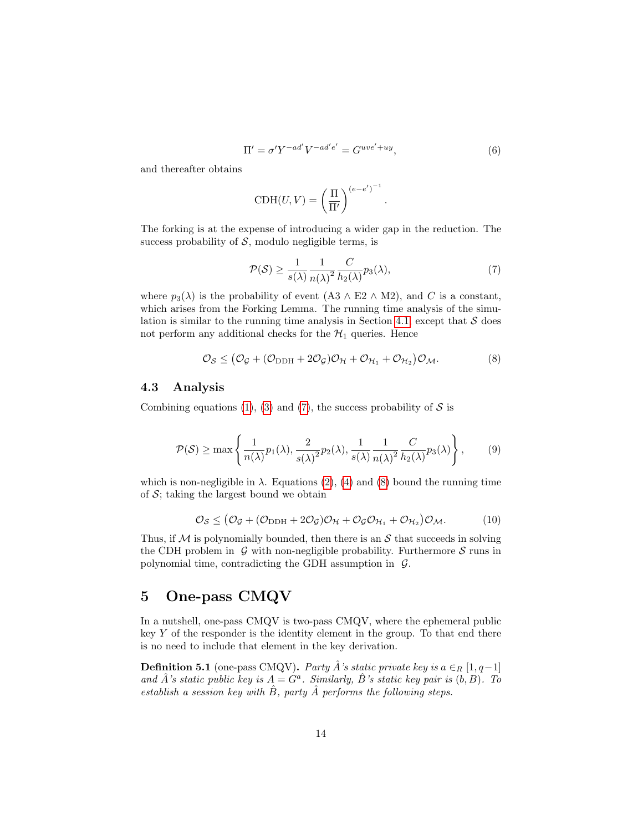$$
\Pi' = \sigma' Y^{-ad'} V^{-ad'e'} = G^{uve'+uy},\tag{6}
$$

.

and thereafter obtains

$$
CDH(U, V) = \left(\frac{\Pi}{\Pi'}\right)^{(e-e')^{-1}}
$$

The forking is at the expense of introducing a wider gap in the reduction. The success probability of  $S$ , modulo negligible terms, is

<span id="page-13-1"></span>
$$
\mathcal{P}(\mathcal{S}) \ge \frac{1}{s(\lambda)} \frac{1}{n(\lambda)^2} \frac{C}{h_2(\lambda)} p_3(\lambda),\tag{7}
$$

where  $p_3(\lambda)$  is the probability of event (A3  $\wedge$  E2  $\wedge$  M2), and C is a constant, which arises from the Forking Lemma. The running time analysis of the simu-lation is similar to the running time analysis in Section [4.1,](#page-9-0) except that  $S$  does not perform any additional checks for the  $\mathcal{H}_1$  queries. Hence

<span id="page-13-2"></span>
$$
\mathcal{O}_{\mathcal{S}} \leq (\mathcal{O}_{\mathcal{G}} + (\mathcal{O}_{\text{DDH}} + 2\mathcal{O}_{\mathcal{G}})\mathcal{O}_{\mathcal{H}} + \mathcal{O}_{\mathcal{H}_1} + \mathcal{O}_{\mathcal{H}_2})\mathcal{O}_{\mathcal{M}}.
$$
(8)

#### 4.3 Analysis

Combining equations [\(1\)](#page-10-0), [\(3\)](#page-12-0) and [\(7\)](#page-13-1), the success probability of  $S$  is

$$
\mathcal{P}(\mathcal{S}) \ge \max\left\{\frac{1}{n(\lambda)}p_1(\lambda), \frac{2}{s(\lambda)^2}p_2(\lambda), \frac{1}{s(\lambda)}\frac{1}{n(\lambda)^2}\frac{C}{h_2(\lambda)}p_3(\lambda)\right\},\qquad(9)
$$

which is non-negligible in  $\lambda$ . Equations [\(2\)](#page-11-1), [\(4\)](#page-12-1) and [\(8\)](#page-13-2) bound the running time of  $S$ ; taking the largest bound we obtain

$$
\mathcal{O}_{\mathcal{S}} \leq (\mathcal{O}_{\mathcal{G}} + (\mathcal{O}_{\text{DDH}} + 2\mathcal{O}_{\mathcal{G}})\mathcal{O}_{\mathcal{H}} + \mathcal{O}_{\mathcal{G}}\mathcal{O}_{\mathcal{H}_1} + \mathcal{O}_{\mathcal{H}_2})\mathcal{O}_{\mathcal{M}}.
$$
(10)

Thus, if  $\mathcal M$  is polynomially bounded, then there is an  $\mathcal S$  that succeeds in solving the CDH problem in  $\mathcal G$  with non-negligible probability. Furthermore  $\mathcal S$  runs in polynomial time, contradicting the GDH assumption in  $\mathcal{G}$ .

# <span id="page-13-0"></span>5 One-pass CMQV

In a nutshell, one-pass CMQV is two-pass CMQV, where the ephemeral public key  $Y$  of the responder is the identity element in the group. To that end there is no need to include that element in the key derivation.

**Definition 5.1** (one-pass CMQV). Party  $\hat{A}$ 's static private key is  $a \in_R [1, q-1]$ and  $\hat{A}$ 's static public key is  $A = G^a$ . Similarly,  $\hat{B}$ 's static key pair is  $(b, B)$ . To establish a session key with  $\hat{B}$ , party  $\hat{A}$  performs the following steps.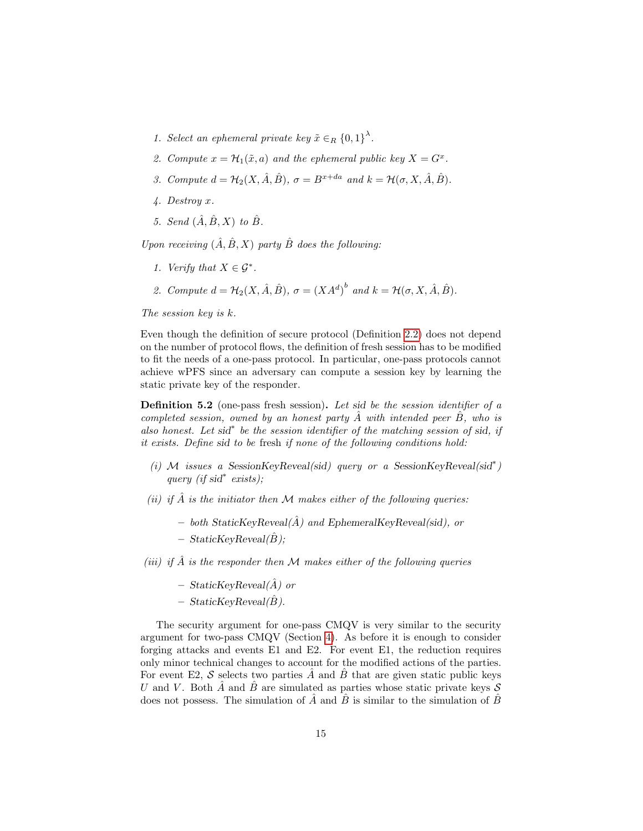- 1. Select an ephemeral private key  $\tilde{x} \in_R \{0,1\}^{\lambda}$ .
- 2. Compute  $x = \mathcal{H}_1(\tilde{x}, a)$  and the ephemeral public key  $X = G^x$ .
- 3. Compute  $d = \mathcal{H}_2(X, \hat{A}, \hat{B}), \sigma = B^{x+da}$  and  $k = \mathcal{H}(\sigma, X, \hat{A}, \hat{B}).$
- 4. Destroy x.
- 5. Send  $(\hat{A}, \hat{B}, X)$  to  $\hat{B}$ .

Upon receiving  $(\hat{A}, \hat{B}, X)$  party  $\hat{B}$  does the following:

- 1. Verify that  $X \in \mathcal{G}^*$ .
- 2. Compute  $d = \mathcal{H}_2(X, \hat{A}, \hat{B}), \sigma = (XA^d)^b$  and  $k = \mathcal{H}(\sigma, X, \hat{A}, \hat{B}).$

The session key is k.

Even though the definition of secure protocol (Definition [2.2\)](#page-4-1) does not depend on the number of protocol flows, the definition of fresh session has to be modified to fit the needs of a one-pass protocol. In particular, one-pass protocols cannot achieve wPFS since an adversary can compute a session key by learning the static private key of the responder.

Definition 5.2 (one-pass fresh session). Let sid be the session identifier of a completed session, owned by an honest party  $A$  with intended peer  $B$ , who is also honest. Let sid<sup>\*</sup> be the session identifier of the matching session of sid, if it exists. Define sid to be fresh if none of the following conditions hold:

- (i) M issues a SessionKeyReveal(sid) query or a SessionKeyReveal(sid<sup>\*</sup>) query (if sid<sup>∗</sup> exists);
- (ii) if  $\hat{A}$  is the initiator then M makes either of the following queries:
	- both StaticKeyReveal( $\hat{A}$ ) and EphemeralKeyReveal(sid), or
	- $-$  StaticKeyReveal( $\hat{B}$ );

(iii) if  $\hat{A}$  is the responder then M makes either of the following queries

- $-$  StaticKeyReveal( $\hat{A}$ ) or
- $-$  StaticKeyReveal( $\hat{B}$ ).

The security argument for one-pass CMQV is very similar to the security argument for two-pass CMQV (Section [4\)](#page-8-0). As before it is enough to consider forging attacks and events E1 and E2. For event E1, the reduction requires only minor technical changes to account for the modified actions of the parties. For event E2, S selects two parties  $\hat{A}$  and  $\hat{B}$  that are given static public keys U and V. Both  $\hat{A}$  and  $\hat{B}$  are simulated as parties whose static private keys  $S$ does not possess. The simulation of  $\overline{A}$  and  $\overline{B}$  is similar to the simulation of  $\overline{B}$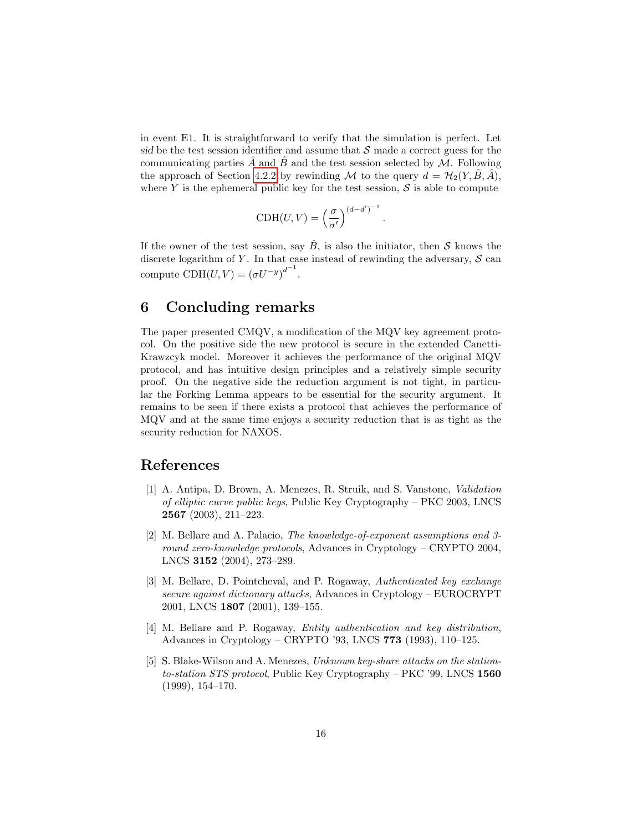in event E1. It is straightforward to verify that the simulation is perfect. Let sid be the test session identifier and assume that  $S$  made a correct guess for the communicating parties A and B and the test session selected by  $\mathcal{M}$ . Following the approach of Section [4.2.2](#page-12-2) by rewinding M to the query  $d = \mathcal{H}_2(Y, \hat{B}, \hat{A})$ , where Y is the ephemeral public key for the test session,  $S$  is able to compute

$$
\text{CDH}(U, V) = \left(\frac{\sigma}{\sigma'}\right)^{(d-d')^{-1}}.
$$

If the owner of the test session, say  $\hat{B}$ , is also the initiator, then S knows the discrete logarithm of Y. In that case instead of rewinding the adversary,  $S$  can compute  $CDH(U, V) = (\sigma U^{-y})^{d^{-1}}$ .

## 6 Concluding remarks

The paper presented CMQV, a modification of the MQV key agreement protocol. On the positive side the new protocol is secure in the extended Canetti-Krawzcyk model. Moreover it achieves the performance of the original MQV protocol, and has intuitive design principles and a relatively simple security proof. On the negative side the reduction argument is not tight, in particular the Forking Lemma appears to be essential for the security argument. It remains to be seen if there exists a protocol that achieves the performance of MQV and at the same time enjoys a security reduction that is as tight as the security reduction for NAXOS.

### References

- <span id="page-15-3"></span>[1] A. Antipa, D. Brown, A. Menezes, R. Struik, and S. Vanstone, Validation of elliptic curve public keys, Public Key Cryptography – PKC 2003, LNCS 2567 (2003), 211–223.
- <span id="page-15-2"></span>[2] M. Bellare and A. Palacio, The knowledge-of-exponent assumptions and 3 round zero-knowledge protocols, Advances in Cryptology – CRYPTO 2004, LNCS 3152 (2004), 273–289.
- <span id="page-15-1"></span>[3] M. Bellare, D. Pointcheval, and P. Rogaway, Authenticated key exchange secure against dictionary attacks, Advances in Cryptology – EUROCRYPT 2001, LNCS 1807 (2001), 139–155.
- <span id="page-15-0"></span>[4] M. Bellare and P. Rogaway, Entity authentication and key distribution, Advances in Cryptology – CRYPTO '93, LNCS 773 (1993), 110–125.
- <span id="page-15-4"></span>[5] S. Blake-Wilson and A. Menezes, Unknown key-share attacks on the stationto-station STS protocol, Public Key Cryptography – PKC '99, LNCS 1560 (1999), 154–170.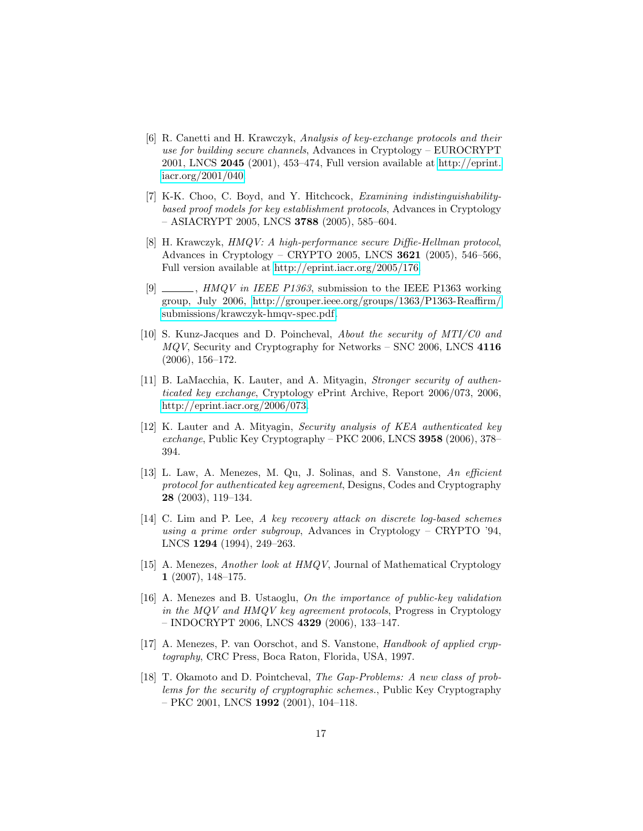- <span id="page-16-4"></span>[6] R. Canetti and H. Krawczyk, Analysis of key-exchange protocols and their use for building secure channels, Advances in Cryptology – EUROCRYPT 2001, LNCS 2045 (2001), 453–474, Full version available at [http://eprint.](http://eprint.iacr.org/2001/040) [iacr.org/2001/040.](http://eprint.iacr.org/2001/040)
- <span id="page-16-3"></span>[7] K-K. Choo, C. Boyd, and Y. Hitchcock, Examining indistinguishabilitybased proof models for key establishment protocols, Advances in Cryptology  $-$  ASIACRYPT 2005, LNCS 3788 (2005), 585–604.
- <span id="page-16-0"></span>[8] H. Krawczyk, HMQV: A high-performance secure Diffie-Hellman protocol, Advances in Cryptology – CRYPTO 2005, LNCS 3621 (2005), 546–566, Full version available at [http://eprint.iacr.org/2005/176.](http://eprint.iacr.org/2005/176)
- <span id="page-16-12"></span>[9]  $\_\_\_\_\_\$ , HMQV in IEEE P1363, submission to the IEEE P1363 working group, July 2006, [http://grouper.ieee.org/groups/1363/P1363-Reaffirm/](http://grouper.ieee.org/groups/1363/P1363-Reaffirm/submissions/krawczyk-hmqv-spec.pdf) [submissions/krawczyk-hmqv-spec.pdf.](http://grouper.ieee.org/groups/1363/P1363-Reaffirm/submissions/krawczyk-hmqv-spec.pdf)
- <span id="page-16-9"></span>[10] S. Kunz-Jacques and D. Poincheval, About the security of MTI/C0 and MQV, Security and Cryptography for Networks – SNC 2006, LNCS 4116 (2006), 156–172.
- <span id="page-16-2"></span>[11] B. LaMacchia, K. Lauter, and A. Mityagin, Stronger security of authenticated key exchange, Cryptology ePrint Archive, Report 2006/073, 2006, [http://eprint.iacr.org/2006/073.](http://eprint.iacr.org/2006/073)
- <span id="page-16-1"></span>[12] K. Lauter and A. Mityagin, Security analysis of KEA authenticated key exchange, Public Key Cryptography – PKC 2006, LNCS  $3958$  (2006), 378– 394.
- <span id="page-16-5"></span>[13] L. Law, A. Menezes, M. Qu, J. Solinas, and S. Vanstone, An efficient protocol for authenticated key agreement, Designs, Codes and Cryptography 28 (2003), 119–134.
- <span id="page-16-10"></span>[14] C. Lim and P. Lee, A key recovery attack on discrete log-based schemes using a prime order subgroup, Advances in Cryptology – CRYPTO '94, LNCS 1294 (1994), 249–263.
- <span id="page-16-6"></span>[15] A. Menezes, Another look at HMQV, Journal of Mathematical Cryptology 1 (2007), 148–175.
- <span id="page-16-7"></span>[16] A. Menezes and B. Ustaoglu, On the importance of public-key validation in the MQV and HMQV key agreement protocols, Progress in Cryptology – INDOCRYPT 2006, LNCS 4329 (2006), 133–147.
- <span id="page-16-11"></span>[17] A. Menezes, P. van Oorschot, and S. Vanstone, Handbook of applied cryptography, CRC Press, Boca Raton, Florida, USA, 1997.
- <span id="page-16-8"></span>[18] T. Okamoto and D. Pointcheval, The Gap-Problems: A new class of problems for the security of cryptographic schemes., Public Key Cryptography – PKC 2001, LNCS 1992 (2001), 104–118.